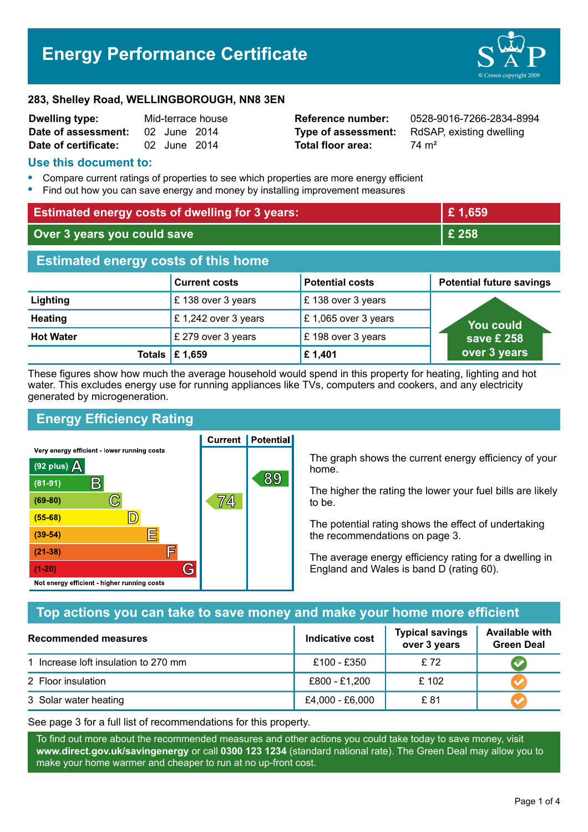# **Energy Performance Certificate**



#### **283, Shelley Road, WELLINGBOROUGH, NN8 3EN**

| <b>Dwelling type:</b> |              | Mid-terrace house |
|-----------------------|--------------|-------------------|
| Date of assessment:   | 02 June 2014 |                   |
| Date of certificate:  | 02 June 2014 |                   |

**Total floor area:** 74 m<sup>2</sup>

**Reference number:** 0528-9016-7266-2834-8994 **Type of assessment:** RdSAP, existing dwelling

#### **Use this document to:**

- **•** Compare current ratings of properties to see which properties are more energy efficient
- **•** Find out how you can save energy and money by installing improvement measures

| <b>Estimated energy costs of dwelling for 3 years:</b> |                                 |                     | £1,659       |
|--------------------------------------------------------|---------------------------------|---------------------|--------------|
| Over 3 years you could save                            |                                 |                     | £ 258        |
| <b>Estimated energy costs of this home</b>             |                                 |                     |              |
|                                                        | <b>Potential future savings</b> |                     |              |
| <b>Lighting</b>                                        | £138 over 3 years               | £138 over 3 years   |              |
| <b>Heating</b>                                         | £1,242 over 3 years             | £1,065 over 3 years | You could    |
| <b>Hot Water</b>                                       | £ 279 over 3 years              | £198 over 3 years   | save £ 258   |
|                                                        | Totals $\mathsf{E}$ 1,659       | £1,401              | over 3 years |

These figures show how much the average household would spend in this property for heating, lighting and hot water. This excludes energy use for running appliances like TVs, computers and cookers, and any electricity generated by microgeneration.

**Current | Potential** 

# **Energy Efficiency Rating**

Very energy efficient - lower running costs



The graph shows the current energy efficiency of your home.

The higher the rating the lower your fuel bills are likely to be.

The potential rating shows the effect of undertaking the recommendations on page 3.

The average energy efficiency rating for a dwelling in England and Wales is band D (rating 60).

# **Top actions you can take to save money and make your home more efficient**

| Recommended measures                 | Indicative cost | <b>Typical savings</b><br>over 3 years | <b>Available with</b><br><b>Green Deal</b> |
|--------------------------------------|-----------------|----------------------------------------|--------------------------------------------|
| 1 Increase loft insulation to 270 mm | £100 - £350     | £72                                    |                                            |
| 2 Floor insulation                   | £800 - £1,200   | £102                                   |                                            |
| 3 Solar water heating                | £4,000 - £6,000 | £ 81                                   |                                            |

See page 3 for a full list of recommendations for this property.

To find out more about the recommended measures and other actions you could take today to save money, visit **www.direct.gov.uk/savingenergy** or call **0300 123 1234** (standard national rate). The Green Deal may allow you to make your home warmer and cheaper to run at no up-front cost.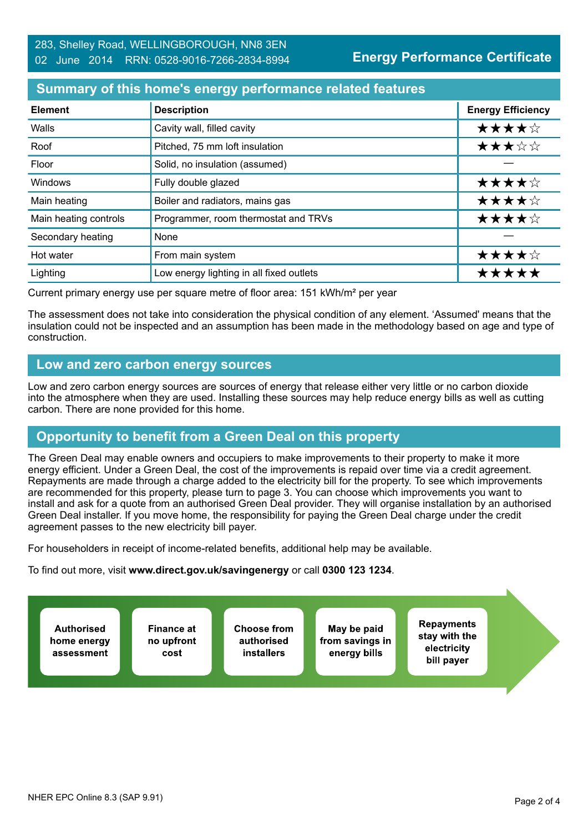## **Summary of this home's energy performance related features**

| <b>Element</b>        | <b>Description</b>                       | <b>Energy Efficiency</b> |
|-----------------------|------------------------------------------|--------------------------|
| Walls                 | Cavity wall, filled cavity               | ★★★★☆                    |
| Roof                  | Pitched, 75 mm loft insulation           | ★★★☆☆                    |
| Floor                 | Solid, no insulation (assumed)           |                          |
| Windows               | Fully double glazed                      | ★★★★☆                    |
| Main heating          | Boiler and radiators, mains gas          | ★★★★☆                    |
| Main heating controls | Programmer, room thermostat and TRVs     | ★★★★☆                    |
| Secondary heating     | None                                     |                          |
| Hot water             | From main system                         | ★★★★☆                    |
| Lighting              | Low energy lighting in all fixed outlets | *****                    |

Current primary energy use per square metre of floor area: 151 kWh/m² per year

The assessment does not take into consideration the physical condition of any element. 'Assumed' means that the insulation could not be inspected and an assumption has been made in the methodology based on age and type of construction.

## **Low and zero carbon energy sources**

Low and zero carbon energy sources are sources of energy that release either very little or no carbon dioxide into the atmosphere when they are used. Installing these sources may help reduce energy bills as well as cutting carbon. There are none provided for this home.

# **Opportunity to benefit from a Green Deal on this property**

The Green Deal may enable owners and occupiers to make improvements to their property to make it more energy efficient. Under a Green Deal, the cost of the improvements is repaid over time via a credit agreement. Repayments are made through a charge added to the electricity bill for the property. To see which improvements are recommended for this property, please turn to page 3. You can choose which improvements you want to install and ask for a quote from an authorised Green Deal provider. They will organise installation by an authorised Green Deal installer. If you move home, the responsibility for paying the Green Deal charge under the credit agreement passes to the new electricity bill payer.

For householders in receipt of income-related benefits, additional help may be available.

To find out more, visit **www.direct.gov.uk/savingenergy** or call **0300 123 1234**.

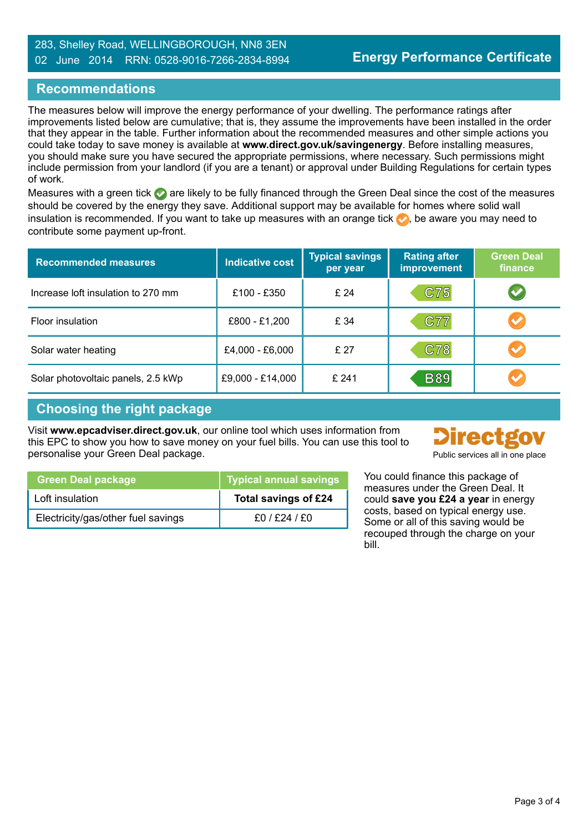## **Recommendations**

The measures below will improve the energy performance of your dwelling. The performance ratings after improvements listed below are cumulative; that is, they assume the improvements have been installed in the order that they appear in the table. Further information about the recommended measures and other simple actions you could take today to save money is available at **www.direct.gov.uk/savingenergy**. Before installing measures, you should make sure you have secured the appropriate permissions, where necessary. Such permissions might include permission from your landlord (if you are a tenant) or approval under Building Regulations for certain types of work.

Measures with a green tick are likely to be fully financed through the Green Deal since the cost of the measures should be covered by the energy they save. Additional support may be available for homes where solid wall insulation is recommended. If you want to take up measures with an orange tick  $\bullet$ , be aware you may need to contribute some payment up-front.

| <b>Recommended measures</b>        | <b>Indicative cost</b> | <b>Typical savings</b><br>per year | <b>Rating after</b><br><b>improvement</b> | <b>Green Deal</b><br>finance |
|------------------------------------|------------------------|------------------------------------|-------------------------------------------|------------------------------|
| Increase loft insulation to 270 mm | £100 - £350            | £24                                | C75                                       |                              |
| Floor insulation                   | £800 - £1,200          | £ 34                               | <b>C77</b>                                |                              |
| Solar water heating                | £4,000 - £6,000        | £ 27                               | <b>C78</b>                                |                              |
| Solar photovoltaic panels, 2.5 kWp | £9,000 - £14,000       | £241                               | <b>B89</b>                                |                              |

## **Choosing the right package**

Visit **www.epcadviser.direct.gov.uk**, our online tool which uses information from this EPC to show you how to save money on your fuel bills. You can use this tool to personalise your Green Deal package.



| L'approvisore du mondiale |  |  |  |  |
|---------------------------|--|--|--|--|
|                           |  |  |  |  |
|                           |  |  |  |  |

| <b>Green Deal package</b>          | $\overline{\phantom{a}}$ Typical annual savings $\overline{\phantom{a}}$ |
|------------------------------------|--------------------------------------------------------------------------|
| Loft insulation                    | Total savings of £24                                                     |
| Electricity/gas/other fuel savings | £0 / £24 / £0                                                            |

You could finance this package of measures under the Green Deal. It could **save you £24 a year** in energy costs, based on typical energy use. Some or all of this saving would be recouped through the charge on your bill.